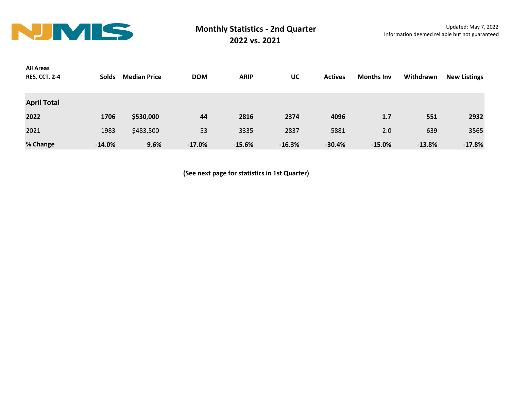

| <b>All Areas</b>     |              |                     |            |             |          |                |                   |           |                     |
|----------------------|--------------|---------------------|------------|-------------|----------|----------------|-------------------|-----------|---------------------|
| <b>RES, CCT, 2-4</b> | <b>Solds</b> | <b>Median Price</b> | <b>DOM</b> | <b>ARIP</b> | UC       | <b>Actives</b> | <b>Months Inv</b> | Withdrawn | <b>New Listings</b> |
|                      |              |                     |            |             |          |                |                   |           |                     |
| <b>April Total</b>   |              |                     |            |             |          |                |                   |           |                     |
| 2022                 | 1706         | \$530,000           | 44         | 2816        | 2374     | 4096           | 1.7               | 551       | 2932                |
| 2021                 | 1983         | \$483,500           | 53         | 3335        | 2837     | 5881           | 2.0               | 639       | 3565                |
| % Change             | $-14.0%$     | 9.6%                | $-17.0%$   | $-15.6%$    | $-16.3%$ | $-30.4%$       | $-15.0%$          | $-13.8%$  | $-17.8%$            |

**(See next page for statistics in 1st Quarter)**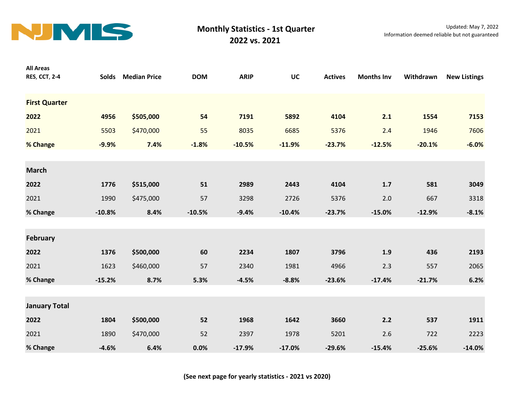

| <b>All Areas</b><br><b>RES, CCT, 2-4</b> | <b>Solds</b> | <b>Median Price</b> | <b>DOM</b> | <b>ARIP</b> | UC       | <b>Actives</b> | <b>Months Inv</b> | Withdrawn | <b>New Listings</b> |
|------------------------------------------|--------------|---------------------|------------|-------------|----------|----------------|-------------------|-----------|---------------------|
| <b>First Quarter</b>                     |              |                     |            |             |          |                |                   |           |                     |
| 2022                                     | 4956         | \$505,000           | 54         | 7191        | 5892     | 4104           | 2.1               | 1554      | 7153                |
| 2021                                     | 5503         | \$470,000           | 55         | 8035        | 6685     | 5376           | 2.4               | 1946      | 7606                |
| % Change                                 | $-9.9%$      | 7.4%                | $-1.8%$    | $-10.5%$    | $-11.9%$ | $-23.7%$       | $-12.5%$          | $-20.1%$  | $-6.0%$             |
| <b>March</b>                             |              |                     |            |             |          |                |                   |           |                     |
| 2022                                     | 1776         | \$515,000           | 51         | 2989        | 2443     | 4104           | 1.7               | 581       | 3049                |
| 2021                                     | 1990         | \$475,000           | 57         | 3298        | 2726     | 5376           | 2.0               | 667       | 3318                |
| % Change                                 | $-10.8%$     | 8.4%                | $-10.5%$   | $-9.4%$     | $-10.4%$ | $-23.7%$       | $-15.0%$          | $-12.9%$  | $-8.1%$             |
| <b>February</b>                          |              |                     |            |             |          |                |                   |           |                     |
| 2022                                     | 1376         | \$500,000           | 60         | 2234        | 1807     | 3796           | 1.9               | 436       | 2193                |
| 2021                                     | 1623         | \$460,000           | 57         | 2340        | 1981     | 4966           | 2.3               | 557       | 2065                |
| % Change                                 | $-15.2%$     | 8.7%                | 5.3%       | $-4.5%$     | $-8.8%$  | $-23.6%$       | $-17.4%$          | $-21.7%$  | 6.2%                |
| <b>January Total</b>                     |              |                     |            |             |          |                |                   |           |                     |
| 2022                                     | 1804         | \$500,000           | 52         | 1968        | 1642     | 3660           | 2.2               | 537       | 1911                |
| 2021                                     | 1890         | \$470,000           | 52         | 2397        | 1978     | 5201           | 2.6               | 722       | 2223                |
| % Change                                 | $-4.6%$      | 6.4%                | 0.0%       | $-17.9%$    | $-17.0%$ | $-29.6%$       | $-15.4%$          | $-25.6%$  | $-14.0%$            |